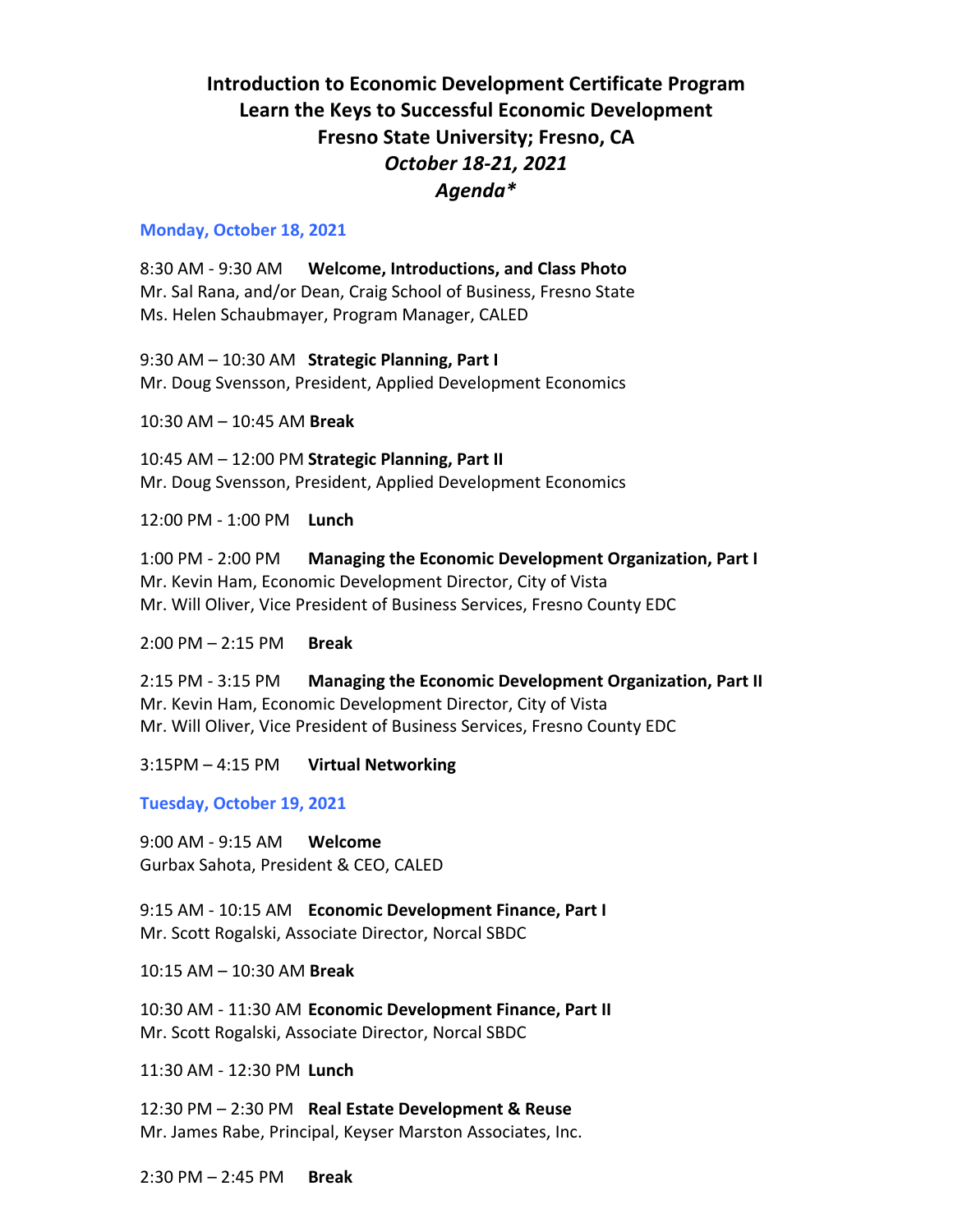## **Introduction to Economic Development Certificate Program Learn the Keys to Successful Economic Development Fresno State University; Fresno, CA** *October 18-21, 2021 Agenda\**

## **Monday, October 18, 2021**

8:30 AM - 9:30 AM **Welcome, Introductions, and Class Photo** Mr. Sal Rana, and/or Dean, Craig School of Business, Fresno State Ms. Helen Schaubmayer, Program Manager, CALED

9:30 AM – 10:30 AM **Strategic Planning, Part I** Mr. Doug Svensson, President, Applied Development Economics

10:30 AM – 10:45 AM **Break** 

10:45 AM – 12:00 PM **Strategic Planning, Part II** Mr. Doug Svensson, President, Applied Development Economics

12:00 PM - 1:00 PM **Lunch**

1:00 PM - 2:00 PM **Managing the Economic Development Organization, Part I** Mr. Kevin Ham, Economic Development Director, City of Vista Mr. Will Oliver, Vice President of Business Services, Fresno County EDC

2:00 PM – 2:15 PM **Break**

2:15 PM - 3:15 PM **Managing the Economic Development Organization, Part II** Mr. Kevin Ham, Economic Development Director, City of Vista Mr. Will Oliver, Vice President of Business Services, Fresno County EDC

3:15PM – 4:15 PM **Virtual Networking** 

**Tuesday, October 19, 2021**

9:00 AM - 9:15 AM **Welcome** Gurbax Sahota, President & CEO, CALED

9:15 AM - 10:15 AM **Economic Development Finance, Part I** Mr. Scott Rogalski, Associate Director, Norcal SBDC

10:15 AM – 10:30 AM **Break**

10:30 AM - 11:30 AM **Economic Development Finance, Part II** Mr. Scott Rogalski, Associate Director, Norcal SBDC

11:30 AM - 12:30 PM **Lunch**

12:30 PM – 2:30 PM **Real Estate Development & Reuse**  Mr. James Rabe, Principal, Keyser Marston Associates, Inc.

2:30 PM – 2:45 PM **Break**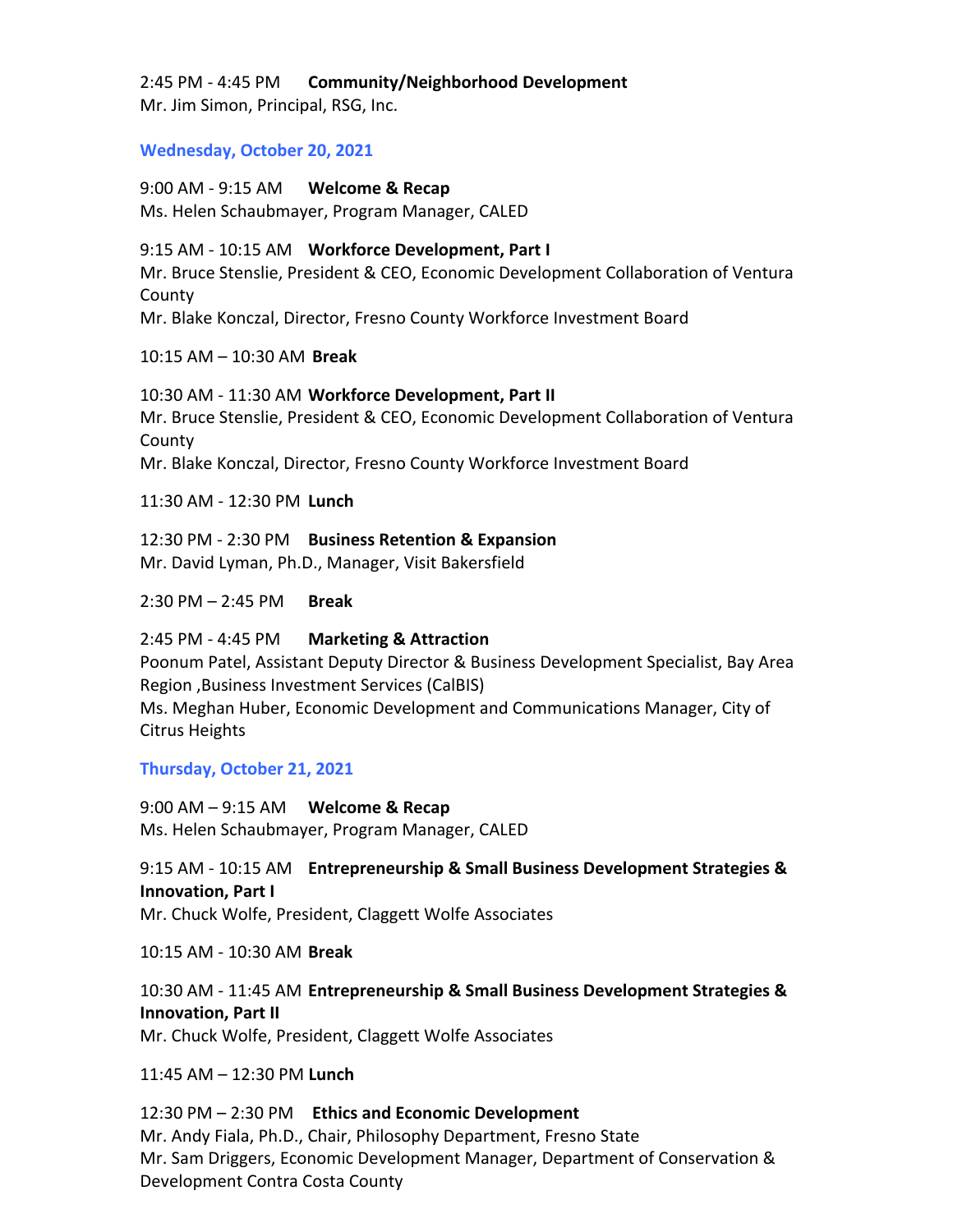2:45 PM - 4:45 PM **Community/Neighborhood Development** Mr. Jim Simon, Principal, RSG, Inc.

**Wednesday, October 20, 2021**

9:00 AM - 9:15 AM **Welcome & Recap**  Ms. Helen Schaubmayer, Program Manager, CALED

9:15 AM - 10:15 AM **Workforce Development, Part I** Mr. Bruce Stenslie, President & CEO, Economic Development Collaboration of Ventura County Mr. Blake Konczal, Director, Fresno County Workforce Investment Board

10:15 AM – 10:30 AM **Break**

10:30 AM - 11:30 AM **Workforce Development, Part II** Mr. Bruce Stenslie, President & CEO, Economic Development Collaboration of Ventura County Mr. Blake Konczal, Director, Fresno County Workforce Investment Board

11:30 AM - 12:30 PM **Lunch**

12:30 PM - 2:30 PM **Business Retention & Expansion**  Mr. David Lyman, Ph.D., Manager, Visit Bakersfield

2:30 PM – 2:45 PM **Break**

2:45 PM - 4:45 PM **Marketing & Attraction**

Poonum Patel, Assistant Deputy Director & Business Development Specialist, Bay Area Region ,Business Investment Services (CalBIS) Ms. Meghan Huber, Economic Development and Communications Manager, City of Citrus Heights

**Thursday, October 21, 2021**

9:00 AM – 9:15 AM **Welcome & Recap**  Ms. Helen Schaubmayer, Program Manager, CALED

9:15 AM - 10:15 AM **Entrepreneurship & Small Business Development Strategies & Innovation, Part I** Mr. Chuck Wolfe, President, Claggett Wolfe Associates

10:15 AM - 10:30 AM **Break**

10:30 AM - 11:45 AM **Entrepreneurship & Small Business Development Strategies & Innovation, Part II** Mr. Chuck Wolfe, President, Claggett Wolfe Associates

11:45 AM – 12:30 PM **Lunch**

12:30 PM – 2:30 PM **Ethics and Economic Development**  Mr. Andy Fiala, Ph.D., Chair, Philosophy Department, Fresno State Mr. Sam Driggers, Economic Development Manager, Department of Conservation & Development Contra Costa County